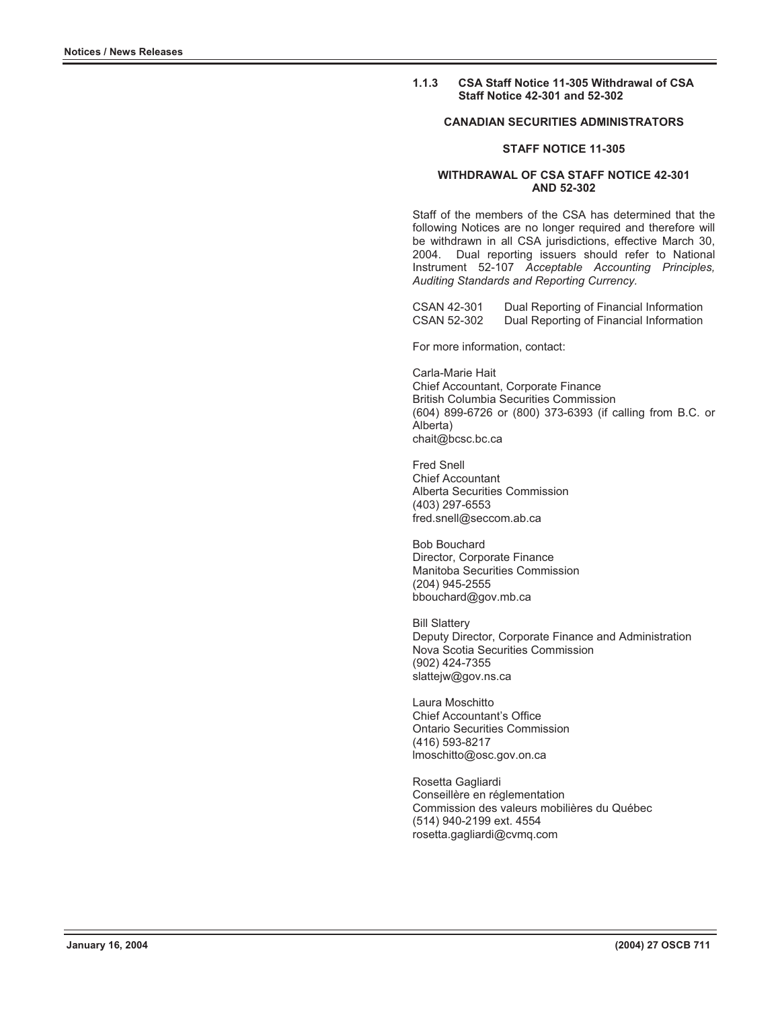## **1.1.3 CSA Staff Notice 11-305 Withdrawal of CSA Staff Notice 42-301 and 52-302**

## **CANADIAN SECURITIES ADMINISTRATORS**

## **STAFF NOTICE 11-305**

## **WITHDRAWAL OF CSA STAFF NOTICE 42-301 AND 52-302**

Staff of the members of the CSA has determined that the following Notices are no longer required and therefore will be withdrawn in all CSA jurisdictions, effective March 30, 2004. Dual reporting issuers should refer to National Instrument 52-107 *Acceptable Accounting Principles, Auditing Standards and Reporting Currency.* 

CSAN 42-301 Dual Reporting of Financial Information Dual Reporting of Financial Information

For more information, contact:

Carla-Marie Hait Chief Accountant, Corporate Finance British Columbia Securities Commission (604) 899-6726 or (800) 373-6393 (if calling from B.C. or Alberta) chait@bcsc.bc.ca

Fred Snell Chief Accountant Alberta Securities Commission (403) 297-6553 fred.snell@seccom.ab.ca

Bob Bouchard Director, Corporate Finance Manitoba Securities Commission (204) 945-2555 bbouchard@gov.mb.ca

Bill Slattery Deputy Director, Corporate Finance and Administration Nova Scotia Securities Commission (902) 424-7355 slattejw@gov.ns.ca

Laura Moschitto Chief Accountant's Office Ontario Securities Commission (416) 593-8217 lmoschitto@osc.gov.on.ca

Rosetta Gagliardi Conseillère en réglementation Commission des valeurs mobilières du Québec (514) 940-2199 ext. 4554 rosetta.gagliardi@cvmq.com